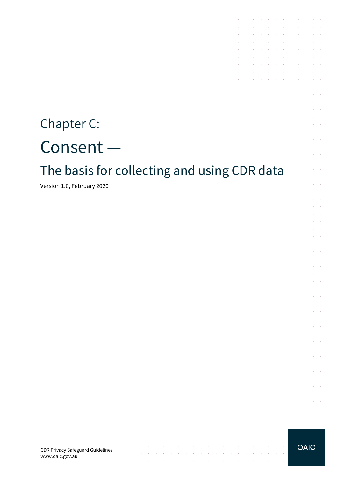# Chapter C: Consent —

# The basis for collecting and using CDR data

 $\mathcal{A}$  . The contribution of the contribution of the contribution of  $\mathcal{A}$ 

 $\sim$ 

والمتواصل والمتواطن والمتواطن والمتواطن والمتواطن والمتواطن والمتواطن والمتواطن

the contract of the contract of the contract of the

 $\sim$ 

 $\sim$  $\sim$ 

**Carl Carl** 

Version 1.0, February 2020

CDR Privacy Safeguard Guidelines www.oaic.gov.au

#### **OAIC**

the contract of the contract of the contract of

**Contractor** 

 $\sim$ 

 $\sim$ **Service** and a state

 $\mathcal{L}$  $\mathcal{L}^{\text{max}}$ 

 $\mathcal{L}^{\mathcal{L}}$  $\Delta \sim 100$ 

 $\mathcal{L}^{\mathcal{L}}$  $\sim 10^{-1}$  km

 $\mathcal{L}^{\mathcal{L}}$  $\sim 10^{-1}$ 

 $\bar{z}$  $\sim$  $\mathcal{L}^{\text{max}}$ and a state  $\sim$  $\mathcal{L}^{\text{max}}$ 

 $\sim$  $\sim 10^{-1}$  .

 $\epsilon$  $\alpha$  ,  $\beta$  ,  $\alpha$  $\mathcal{L}^{\text{max}}(\mathcal{L}^{\text{max}})$ V.  $\sim$  $\sim$ **Contractor**  $\mathcal{L}^{\text{max}}$ 

and the control and a state

 $\mathcal{L}^{\text{max}}$  and  $\mathcal{L}^{\text{max}}$  $\mathcal{L}^{\text{max}}$  and  $\mathcal{L}^{\text{max}}$ 

 $\sim$ **Contractor** and the control

 $\mathcal{L}^{\mathcal{L}}$  $\alpha$  ,  $\beta$  ,  $\alpha$ 

 $\sim$  $\Delta\sim 100$ 

 $\sim$  $\alpha$  and  $\alpha$ and a state

 $\sim$  $\sim$  $\sim$ 

 $\mathcal{L}$  $\sim$  $\Delta\sim 10^{11}$  m  $^{-1}$  $\alpha = \alpha + \beta$ 

 $\sim$ 

**Service** 

and a series of the contract of the series of

 $\mathcal{L}^{\mathcal{A}}$  . The set of the set of the set of the set of the set of  $\mathcal{L}^{\mathcal{A}}$ **Contractor** 

the contract of the contract of the  $\mathcal{A}^{\mathcal{A}}$  . The contribution of the contribution of the contribution of  $\mathcal{A}^{\mathcal{A}}$ 

 $\mathcal{L}^{\mathcal{A}}$  . The contribution of the contribution of the contribution of  $\mathcal{L}^{\mathcal{A}}$ and a state of the state of the

the control of the control of

 $\sim$  $\sim$ 

÷.  $\sim$  $\sim$ 

 $\mathcal{L}^{\mathcal{L}}$ 

÷.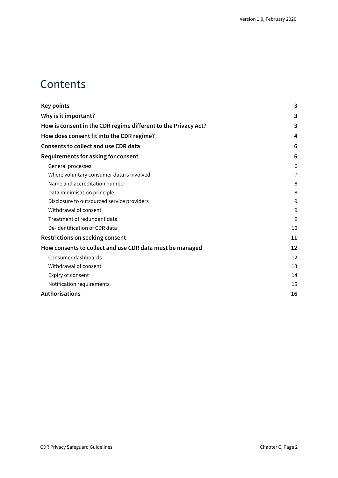### **Contents**

| <b>Key points</b>                                              | 3              |
|----------------------------------------------------------------|----------------|
| Why is it important?                                           | 3              |
| How is consent in the CDR regime different to the Privacy Act? | 3              |
| How does consent fit into the CDR regime?                      | 4              |
| <b>Consents to collect and use CDR data</b>                    | 6              |
| Requirements for asking for consent                            | 6              |
| General processes                                              | 6              |
| Where voluntary consumer data is involved                      | $\overline{7}$ |
| Name and accreditation number                                  | 8              |
| Data minimisation principle                                    | 8              |
| Disclosure to outsourced service providers                     | 9              |
| Withdrawal of consent                                          | 9              |
| Treatment of redundant data                                    | 9              |
| De-identification of CDR data                                  | 10             |
| <b>Restrictions on seeking consent</b>                         | 11             |
| How consents to collect and use CDR data must be managed       | 12             |
| Consumer dashboards                                            | 12             |
| Withdrawal of consent                                          | 13             |
| Expiry of consent                                              | 14             |
| Notification requirements                                      | 15             |
| <b>Authorisations</b>                                          | 16             |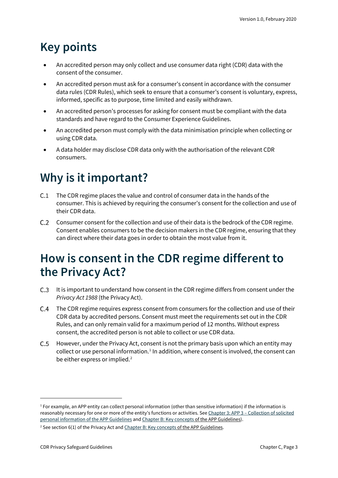# <span id="page-2-0"></span>**Key points**

- An accredited person may only collect and use consumer data right (CDR) data with the consent of the consumer.
- An accredited person must ask for a consumer's consent in accordance with the consumer data rules (CDR Rules), which seek to ensure that a consumer's consent is voluntary, express, informed, specific as to purpose, time limited and easily withdrawn.
- An accredited person's processes for asking for consent must be compliant with the data standards and have regard to the Consumer Experience Guidelines.
- An accredited person must comply with the data minimisation principle when collecting or using CDR data.
- A data holder may disclose CDR data only with the authorisation of the relevant CDR consumers.

# <span id="page-2-1"></span>**Why is it important?**

- C.1 The CDR regime places the value and control of consumer data in the hands of the consumer. This is achieved by requiring the consumer's consent for the collection and use of their CDR data.
- $C.2$ Consumer consent for the collection and use of their data is the bedrock of the CDR regime. Consent enables consumers to be the decision makers in the CDR regime, ensuring that they can direct where their data goes in order to obtain the most value from it.

### <span id="page-2-2"></span>**How is consent in the CDR regime different to the Privacy Act?**

- C.3 It is important to understand how consent in the CDR regime differs from consent under the *Privacy Act 1988* (the Privacy Act).
- The CDR regime requires express consent from consumers for the collection and use of their CDR data by accredited persons. Consent must meet the requirements set out in the CDR Rules, and can only remain valid for a maximum period of 12 months. Without express consent, the accredited person is not able to collect or use CDR data.
- However, under the Privacy Act, consent is not the primary basis upon which an entity may collect or use personal information.<sup>[1](#page-2-3)</sup> In addition, where consent is involved, the consent can be either express or implied.<sup>[2](#page-2-4)</sup>

<span id="page-2-3"></span> $1$  For example, an APP entity can collect personal information (other than sensitive information) if the information is reasonably necessary for one or more of the entity's functions or activities. See Chapter 3: APP 3 – [Collection of solicited](https://www.oaic.gov.au/privacy/australian-privacy-principles-guidelines/chapter-3-app-3-collection-of-solicited-personal-information/)  [personal information](https://www.oaic.gov.au/privacy/australian-privacy-principles-guidelines/chapter-3-app-3-collection-of-solicited-personal-information/) of the APP Guidelines an[d Chapter B: Key concepts](https://www.oaic.gov.au/privacy/australian-privacy-principles-guidelines/chapter-b-key-concepts/) of the APP Guidelines).

<span id="page-2-4"></span><sup>&</sup>lt;sup>2</sup> See section 6(1) of the Privacy Act an[d Chapter B: Key concepts](https://www.oaic.gov.au/privacy/australian-privacy-principles-guidelines/chapter-b-key-concepts/) of the APP Guidelines.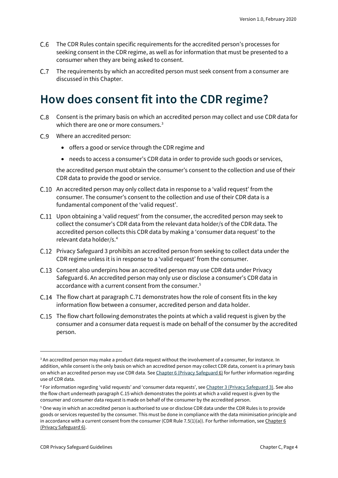- The CDR Rules contain specific requirements for the accredited person's processes for seeking consent in the CDR regime, as well as for information that must be presented to a consumer when they are being asked to consent.
- The requirements by which an accredited person must seek consent from a consumer are  $C.7$ discussed in this Chapter.

### <span id="page-3-0"></span>**How does consent fit into the CDR regime?**

- Consent is the primary basis on which an accredited person may collect and use CDR data for  $C.8$ which there are one or more consumers.<sup>[3](#page-3-1)</sup>
- Where an accredited person:
	- offers a good or service through the CDR regime and
	- needs to access a consumer's CDR data in order to provide such goods or services,

the accredited person must obtain the consumer's consent to the collection and use of their CDR data to provide the good or service.

- C.10 An accredited person may only collect data in response to a 'valid request' from the consumer. The consumer's consent to the collection and use of their CDR data is a fundamental component of the 'valid request'.
- Upon obtaining a 'valid request' from the consumer, the accredited person may seek to collect the consumer's CDR data from the relevant data holder/s of the CDR data. The accredited person collects this CDR data by making a 'consumer data request' to the relevant data holder/s.[4](#page-3-2)
- C.12 Privacy Safeguard 3 prohibits an accredited person from seeking to collect data under the CDR regime unless it is in response to a 'valid request' from the consumer.
- C.13 Consent also underpins how an accredited person may use CDR data under Privacy Safeguard 6. An accredited person may only use or disclose a consumer's CDR data in accordance with a current consent from the consumer.<sup>[5](#page-3-3)</sup>
- C.14 The flow chart at paragraph C.71 demonstrates how the role of consent fits in the key information flow between a consumer, accredited person and data holder.
- C.15 The flow chart following demonstrates the points at which a valid request is given by the consumer and a consumer data request is made on behalf of the consumer by the accredited person.

<span id="page-3-1"></span><sup>&</sup>lt;sup>3</sup> An accredited person may make a product data request without the involvement of a consumer, for instance. In addition, while consent is the only basis on which an accredited person may collect CDR data, consent is a primary basis on which an accredited person may use CDR data. Se[e Chapter 6 \(Privacy Safeguard](https://www.oaic.gov.au/consumer-data-right/cdr-privacy-safeguard-guidelines/chapter-6-privacy-safeguard-6-use-or-disclosure-of-cdr-data-by-accredited-data-recipients-or-designated-gateways) 6) for further information regarding use of CDR data.

<span id="page-3-2"></span><sup>4</sup> For information regarding 'valid requests' and 'consumer data requests', se[e Chapter 3 \(Privacy Safeguard 3\)](https://www.oaic.gov.au/consumer-data-right/cdr-privacy-safeguard-guidelines/chapter-3-privacy-safeguard-3-seeking-to-collect-cdr-data-from-cdr-participants). See also the flow chart underneath paragraph C.15 which demonstrates the points at which a valid request is given by the consumer and consumer data request is made on behalf of the consumer by the accredited person.

<span id="page-3-3"></span><sup>5</sup> One way in which an accredited person is authorised to use or disclose CDR data under the CDR Rules is to provide goods or services requested by the consumer. This must be done in compliance with the data minimisation principle and in accordance with a current consent from the consumer (CDR Rule 7.5(1)(a)). For further information, see Chapter 6 (Privacy Safeguard 6).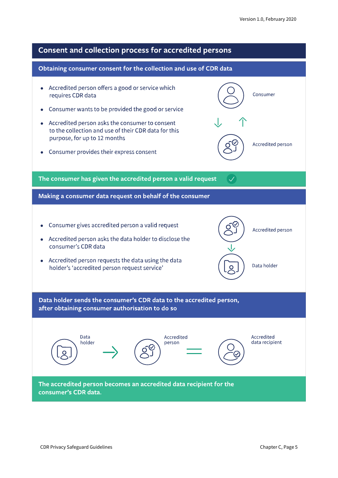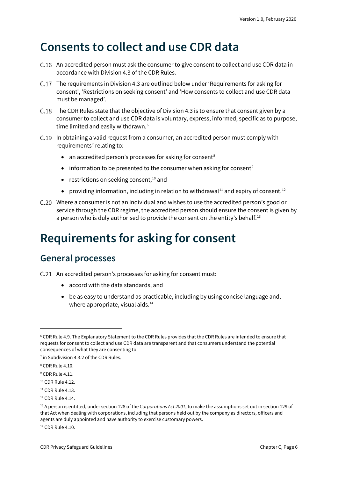### <span id="page-5-0"></span>**Consents to collect and use CDR data**

- C.16 An accredited person must ask the consumer to give consent to collect and use CDR data in accordance with Division 4.3 of the CDR Rules.
- The requirements in Division 4.3 are outlined below under 'Requirements for asking for consent', 'Restrictions on seeking consent' and 'How consents to collect and use CDR data must be managed'.
- C.18 The CDR Rules state that the objective of Division 4.3 is to ensure that consent given by a consumer to collect and use CDR data is voluntary, express, informed, specific as to purpose, time limited and easily withdrawn.<sup>[6](#page-5-3)</sup>
- C.19 In obtaining a valid request from a consumer, an accredited person must comply with requirements<sup> $7$ </sup> relating to:
	- an accredited person's processes for asking for consent<sup>[8](#page-5-5)</sup>
	- information to be presented to the consumer when asking for consent<sup>[9](#page-5-6)</sup>
	- restrictions on seeking consent,<sup>[10](#page-5-7)</sup> and
	- providing information, including in relation to withdrawal<sup>[11](#page-5-8)</sup> and expiry of consent.<sup>[12](#page-5-9)</sup>
- Where a consumer is not an individual and wishes to use the accredited person's good or service through the CDR regime, the accredited person should ensure the consent is given by a person who is duly authorised to provide the consent on the entity's behalf.<sup>[13](#page-5-10)</sup>

# <span id="page-5-1"></span>**Requirements for asking for consent**

#### <span id="page-5-2"></span>**General processes**

- C.21 An accredited person's processes for asking for consent must:
	- accord with the data standards, and
	- be as easy to understand as practicable, including by using concise language and, where appropriate, visual aids.<sup>[14](#page-5-11)</sup>

<span id="page-5-11"></span><sup>14</sup> CDR Rule 4.10.

<span id="page-5-3"></span><sup>6</sup> CDR Rule 4.9. The Explanatory Statement to the CDR Rules provides that the CDR Rules are intended to ensure that requests for consent to collect and use CDR data are transparent and that consumers understand the potential consequences of what they are consenting to.

<span id="page-5-4"></span><sup>&</sup>lt;sup>7</sup> in Subdivision 4.3.2 of the CDR Rules.

<span id="page-5-5"></span><sup>8</sup> CDR Rule 4.10.

<span id="page-5-6"></span><sup>&</sup>lt;sup>9</sup> CDR Rule 4.11.

<span id="page-5-7"></span><sup>&</sup>lt;sup>10</sup> CDR Rule 4.12.

<span id="page-5-8"></span> $11$  CDR Rule 4.13.

<span id="page-5-9"></span><sup>12</sup> CDR Rule 4.14.

<span id="page-5-10"></span><sup>13</sup> A person is entitled, under section 128 of the *Corporations Act 2001*, to make the assumptions set out in section 129 of that Act when dealing with corporations, including that persons held out by the company as directors, officers and agents are duly appointed and have authority to exercise customary powers.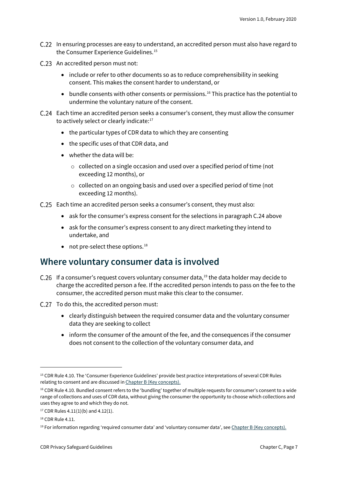- C.22 In ensuring processes are easy to understand, an accredited person must also have regard to the Consumer Experience Guidelines. [15](#page-6-1)
- C.23 An accredited person must not:
	- include or refer to other documents so as to reduce comprehensibility in seeking consent. This makes the consent harder to understand, or
	- bundle consents with other consents or permissions.<sup>[16](#page-6-2)</sup> This practice has the potential to undermine the voluntary nature of the consent.
- Each time an accredited person seeks a consumer's consent, they must allow the consumer to actively select or clearly indicate:<sup>17</sup>
	- the particular types of CDR data to which they are consenting
	- the specific uses of that CDR data, and
	- whether the data will be:
		- o collected on a single occasion and used over a specified period of time (not exceeding 12 months), or
		- o collected on an ongoing basis and used over a specified period of time (not exceeding 12 months).
- Each time an accredited person seeks a consumer's consent, they must also:
	- ask for the consumer's express consent for the selections in paragraph C.24 above
	- ask for the consumer's express consent to any direct marketing they intend to undertake, and
	- not pre-select these options. $^{18}$  $^{18}$  $^{18}$

#### <span id="page-6-0"></span>**Where voluntary consumer data is involved**

- C.26 If a consumer's request covers voluntary consumer data, $19$  the data holder may decide to charge the accredited person a fee. If the accredited person intends to pass on the fee to the consumer, the accredited person must make this clear to the consumer.
- C.27 To do this, the accredited person must:
	- clearly distinguish between the required consumer data and the voluntary consumer data they are seeking to collect
	- inform the consumer of the amount of the fee, and the consequences if the consumer does not consent to the collection of the voluntary consumer data, and

<span id="page-6-1"></span><sup>&</sup>lt;sup>15</sup> CDR Rule 4.10. The 'Consumer Experience Guidelines' provide best practice interpretations of several CDR Rules relating to consent and are discussed i[n Chapter B \(Key concepts\).](https://www.oaic.gov.au/consumer-data-right/cdr-privacy-safeguard-guidelines/chapter-b-key-concepts)

<span id="page-6-2"></span><sup>&</sup>lt;sup>16</sup> CDR Rule 4.10. Bundled consent refers to the 'bundling' together of multiple requests for consumer's consent to a wide range of collections and uses of CDR data, without giving the consumer the opportunity to choose which collections and uses they agree to and which they do not.

<span id="page-6-3"></span> $17$  CDR Rules 4.11(1)(b) and 4.12(1).

<span id="page-6-4"></span><sup>18</sup> CDR Rule 4.11.

<span id="page-6-5"></span><sup>19</sup> For information regarding 'required consumer data' and 'voluntary consumer data', se[e Chapter B \(Key concepts\).](https://www.oaic.gov.au/consumer-data-right/cdr-privacy-safeguard-guidelines/chapter-b-key-concepts)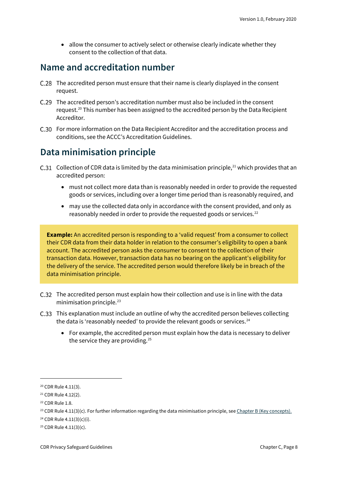• allow the consumer to actively select or otherwise clearly indicate whether they consent to the collection of that data.

#### <span id="page-7-0"></span>**Name and accreditation number**

- The accredited person must ensure that their name is clearly displayed in the consent request.
- C.29 The accredited person's accreditation number must also be included in the consent request.<sup>[20](#page-7-2)</sup> This number has been assigned to the accredited person by the Data Recipient Accreditor.
- For more information on the Data Recipient Accreditor and the accreditation process and conditions, see the ACCC's Accreditation Guidelines.

#### <span id="page-7-1"></span>**Data minimisation principle**

- C.31 Collection of CDR data is limited by the data minimisation principle,<sup>[21](#page-7-3)</sup> which provides that an accredited person:
	- must not collect more data than is reasonably needed in order to provide the requested goods or services, including over a longer time period than is reasonably required, and
	- may use the collected data only in accordance with the consent provided, and only as reasonably needed in order to provide the requested goods or services.<sup>[22](#page-7-4)</sup>

**Example:** An accredited person is responding to a 'valid request' from a consumer to collect their CDR data from their data holder in relation to the consumer's eligibility to open a bank account. The accredited person asks the consumer to consent to the collection of their transaction data. However, transaction data has no bearing on the applicant's eligibility for the delivery of the service. The accredited person would therefore likely be in breach of the data minimisation principle.

- C.32 The accredited person must explain how their collection and use is in line with the data minimisation principle.<sup>[23](#page-7-5)</sup>
- This explanation must include an outline of why the accredited person believes collecting the data is 'reasonably needed' to provide the relevant goods or services. $^{24}$  $^{24}$  $^{24}$ 
	- For example, the accredited person must explain how the data is necessary to deliver the service they are providing.<sup>[25](#page-7-7)</sup>

<span id="page-7-2"></span><sup>20</sup> CDR Rule 4.11(3).

<span id="page-7-3"></span><sup>21</sup> CDR Rule 4.12(2).

<span id="page-7-4"></span><sup>22</sup> CDR Rule 1.8.

<span id="page-7-5"></span><sup>&</sup>lt;sup>23</sup> CDR Rule 4.11(3)(c). For further information regarding the data minimisation principle, se[e Chapter B \(Key concepts\).](https://www.oaic.gov.au/consumer-data-right/cdr-privacy-safeguard-guidelines/chapter-b-key-concepts)

<span id="page-7-6"></span><sup>24</sup> CDR Rule 4.11(3)(c)(i).

<span id="page-7-7"></span> $25$  CDR Rule 4.11(3)(c).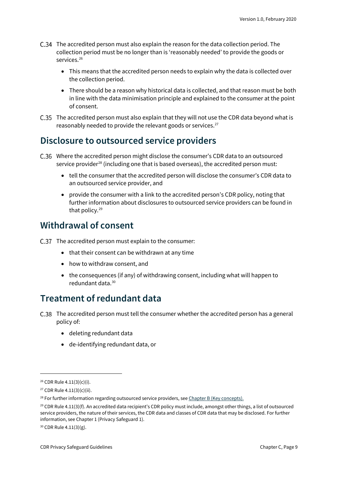- The accredited person must also explain the reason for the data collection period. The collection period must be no longer than is 'reasonably needed' to provide the goods or services.<sup>[26](#page-8-3)</sup>
	- This means that the accredited person needs to explain why the data is collected over the collection period.
	- There should be a reason why historical data is collected, and that reason must be both in line with the data minimisation principle and explained to the consumer at the point of consent.
- The accredited person must also explain that they will not use the CDR data beyond what is reasonably needed to provide the relevant goods or services.<sup>27</sup>

#### <span id="page-8-0"></span>**Disclosure to outsourced service providers**

- Where the accredited person might disclose the consumer's CDR data to an outsourced service provider<sup>[28](#page-8-5)</sup> (including one that is based overseas), the accredited person must:
	- tell the consumer that the accredited person will disclose the consumer's CDR data to an outsourced service provider, and
	- provide the consumer with a link to the accredited person's CDR policy, noting that further information about disclosures to outsourced service providers can be found in that policy.[29](#page-8-6)

#### <span id="page-8-1"></span>**Withdrawal of consent**

- C.37 The accredited person must explain to the consumer:
	- that their consent can be withdrawn at any time
	- how to withdraw consent, and
	- the consequences (if any) of withdrawing consent, including what will happen to redundant data.[30](#page-8-7)

#### <span id="page-8-2"></span>**Treatment of redundant data**

- The accredited person must tell the consumer whether the accredited person has a general policy of:
	- deleting redundant data
	- de-identifying redundant data, or

<span id="page-8-3"></span><sup>26</sup> CDR Rule 4.11(3)(c)(i).

<span id="page-8-4"></span><sup>27</sup> CDR Rule 4.11(3)(c)(ii).

<span id="page-8-5"></span><sup>&</sup>lt;sup>28</sup> For further information regarding outsourced service providers, se[e Chapter B \(Key concepts\).](https://www.oaic.gov.au/consumer-data-right/cdr-privacy-safeguard-guidelines/chapter-b-key-concepts)

<span id="page-8-6"></span> $29$  CDR Rule 4.11(3)(f). An accredited data recipient's CDR policy must include, amongst other things, a list of outsourced service providers, the nature of their services, the CDR data and classes of CDR data that may be disclosed. For further information, see Chapter 1 (Privacy Safeguard 1).

<span id="page-8-7"></span><sup>30</sup> CDR Rule 4.11(3)(g).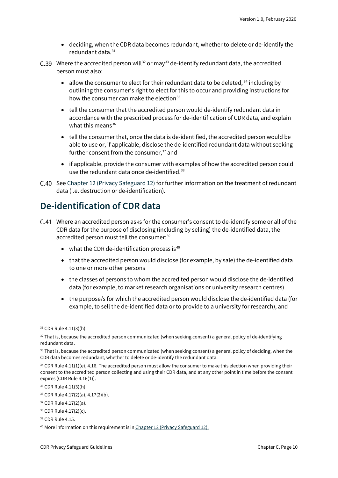- deciding, when the CDR data becomes redundant, whether to delete or de-identify the redundant data.<sup>[31](#page-9-1)</sup>
- C.39 Where the accredited person will<sup>[32](#page-9-2)</sup> or may<sup>[33](#page-9-3)</sup> de-identify redundant data, the accredited person must also:
	- allow the consumer to elect for their redundant data to be deleted,  $34$  including by outlining the consumer's right to elect for this to occur and providing instructions for how the consumer can make the election $35$
	- tell the consumer that the accredited person would de-identify redundant data in accordance with the prescribed process for de-identification of CDR data, and explain what this means $36$
	- tell the consumer that, once the data is de-identified, the accredited person would be able to use or, if applicable, disclose the de-identified redundant data without seeking further consent from the consumer,<sup>[37](#page-9-7)</sup> and
	- if applicable, provide the consumer with examples of how the accredited person could use the redundant data once de-identified.<sup>[38](#page-9-8)</sup>
- C.40 Se[e Chapter 12 \(Privacy Safeguard 12\)](https://www.oaic.gov.au/consumer-data-right/cdr-privacy-safeguard-guidelines/chapter-12-privacy-safeguard-12-security-of-cdr-data-and-destruction-of-de-identification-of-redundant-cdr-data) for further information on the treatment of redundant data (i.e. destruction or de-identification).

#### <span id="page-9-0"></span>**De-identification of CDR data**

- Where an accredited person asks for the consumer's consent to de-identify some or all of the CDR data for the purpose of disclosing (including by selling) the de-identified data, the accredited person must tell the consumer:<sup>[39](#page-9-9)</sup>
	- $\bullet$  what the CDR de-identification process is<sup>[40](#page-9-10)</sup>
	- that the accredited person would disclose (for example, by sale) the de-identified data to one or more other persons
	- the classes of persons to whom the accredited person would disclose the de-identified data (for example, to market research organisations or university research centres)
	- the purpose/s for which the accredited person would disclose the de-identified data (for example, to sell the de-identified data or to provide to a university for research), and

<span id="page-9-1"></span><sup>31</sup> CDR Rule 4.11(3)(h).

<span id="page-9-2"></span> $32$  That is, because the accredited person communicated (when seeking consent) a general policy of de-identifying redundant data.

<span id="page-9-3"></span><sup>&</sup>lt;sup>33</sup> That is, because the accredited person communicated (when seeking consent) a general policy of deciding, when the CDR data becomes redundant, whether to delete or de-identify the redundant data.

<span id="page-9-4"></span> $34$  CDR Rule 4.11(1)(e), 4.16. The accredited person must allow the consumer to make this election when providing their consent to the accredited person collecting and using their CDR data, and at any other point in time before the consent expires (CDR Rule 4.16(1)).

<span id="page-9-5"></span><sup>35</sup> CDR Rule 4.11(3)(h).

<span id="page-9-6"></span><sup>36</sup> CDR Rule 4.17(2)(a), 4.17(2)(b).

<span id="page-9-7"></span><sup>37</sup> CDR Rule 4.17(2)(a).

<span id="page-9-8"></span><sup>38</sup> CDR Rule 4.17(2)(c).

<span id="page-9-9"></span><sup>39</sup> CDR Rule 4.15.

<span id="page-9-10"></span><sup>&</sup>lt;sup>40</sup> More information on this requirement is i[n Chapter 12 \(Privacy Safeguard 12\).](https://www.oaic.gov.au/consumer-data-right/cdr-privacy-safeguard-guidelines/chapter-12-privacy-safeguard-12-security-of-cdr-data-and-destruction-of-de-identification-of-redundant-cdr-data)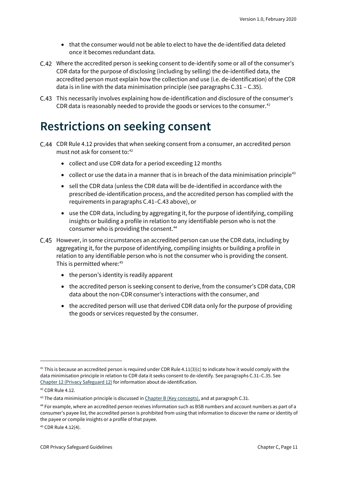- that the consumer would not be able to elect to have the de-identified data deleted once it becomes redundant data.
- Where the accredited person is seeking consent to de-identify some or all of the consumer's CDR data for the purpose of disclosing (including by selling) the de-identified data, the accredited person must explain how the collection and use (i.e. de-identification) of the CDR data is in line with the data minimisation principle (see paragraphs C.31 – C.35).
- This necessarily involves explaining how de-identification and disclosure of the consumer's CDR data is reasonably needed to provide the goods or services to the consumer. $41$

### <span id="page-10-0"></span>**Restrictions on seeking consent**

- C.44 CDR Rule 4.12 provides that when seeking consent from a consumer, an accredited person must not ask for consent to:<sup>[42](#page-10-2)</sup>
	- collect and use CDR data for a period exceeding 12 months
	- collect or use the data in a manner that is in breach of the data minimisation principle<sup>43</sup>
	- sell the CDR data (unless the CDR data will be de-identified in accordance with the prescribed de-identification process, and the accredited person has complied with the requirements in paragraphs C.41–C.43 above), or
	- use the CDR data, including by aggregating it, for the purpose of identifying, compiling insights or building a profile in relation to any identifiable person who is not the consumer who is providing the consent.<sup>44</sup>
- However, in some circumstances an accredited person can use the CDR data, including by aggregating it, for the purpose of identifying, compiling insights or building a profile in relation to any identifiable person who is not the consumer who is providing the consent. This is permitted where:<sup>45</sup>
	- the person's identity is readily apparent
	- the accredited person is seeking consent to derive, from the consumer's CDR data, CDR data about the non-CDR consumer's interactions with the consumer, and
	- the accredited person will use that derived CDR data only for the purpose of providing the goods or services requested by the consumer.

<span id="page-10-1"></span><sup>&</sup>lt;sup>41</sup> This is because an accredited person is required under CDR Rule 4.11(3)(c) to indicate how it would comply with the data minimisation principle in relation to CDR data it seeks consent to de-identify. See paragraphs C.31–C.35. See [Chapter 12 \(Privacy Safeguard 12\)](https://www.oaic.gov.au/consumer-data-right/cdr-privacy-safeguard-guidelines/chapter-12-privacy-safeguard-12-security-of-cdr-data-and-destruction-of-de-identification-of-redundant-cdr-data) for information about de-identification.

<span id="page-10-2"></span><sup>42</sup> CDR Rule 4.12.

<span id="page-10-3"></span> $43$  The data minimisation principle is discussed in  $Chapter B$  (Key concepts), and at paragraph C.31.

<span id="page-10-4"></span><sup>44</sup> For example, where an accredited person receives information such as BSB numbers and account numbers as part of a consumer's payee list, the accredited person is prohibited from using that information to discover the name or identity of the payee or compile insights or a profile of that payee.

<span id="page-10-5"></span><sup>45</sup> CDR Rule 4.12(4).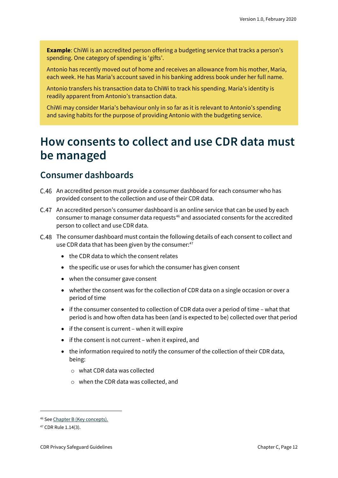**Example**: ChiWi is an accredited person offering a budgeting service that tracks a person's spending. One category of spending is 'gifts'.

Antonio has recently moved out of home and receives an allowance from his mother, Maria, each week. He has Maria's account saved in his banking address book under her full name.

Antonio transfers his transaction data to ChiWi to track his spending. Maria's identity is readily apparent from Antonio's transaction data.

ChiWi may consider Maria's behaviour only in so far as it is relevant to Antonio's spending and saving habits for the purpose of providing Antonio with the budgeting service.

### <span id="page-11-0"></span>**How consents to collect and use CDR data must be managed**

#### <span id="page-11-1"></span>**Consumer dashboards**

- An accredited person must provide a consumer dashboard for each consumer who has provided consent to the collection and use of their CDR data.
- An accredited person's consumer dashboard is an online service that can be used by each consumer to manage consumer data requests<sup>[46](#page-11-2)</sup> and associated consents for the accredited person to collect and use CDR data.
- The consumer dashboard must contain the following details of each consent to collect and use CDR data that has been given by the consumer:<sup>[47](#page-11-3)</sup>
	- the CDR data to which the consent relates
	- the specific use or uses for which the consumer has given consent
	- when the consumer gave consent
	- whether the consent was for the collection of CDR data on a single occasion or over a period of time
	- if the consumer consented to collection of CDR data over a period of time what that period is and how often data has been (and is expected to be) collected over that period
	- if the consent is current when it will expire
	- if the consent is not current when it expired, and
	- the information required to notify the consumer of the collection of their CDR data, being:
		- o what CDR data was collected
		- o when the CDR data was collected, and

<span id="page-11-2"></span><sup>46</sup> Se[e Chapter B \(Key concepts\).](https://www.oaic.gov.au/consumer-data-right/cdr-privacy-safeguard-guidelines/chapter-b-key-concepts)

<span id="page-11-3"></span><sup>47</sup> CDR Rule 1.14(3).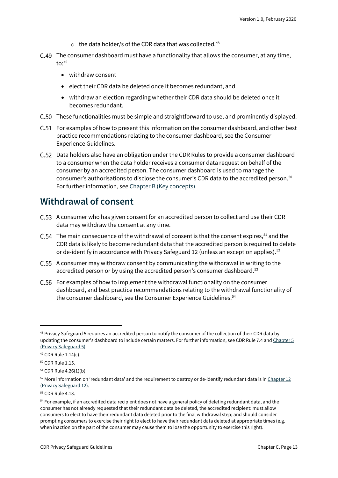- $\circ$  the data holder/s of the CDR data that was collected.<sup>[48](#page-12-1)</sup>
- C.49 The consumer dashboard must have a functionality that allows the consumer, at any time,  $\text{to:}^{49}$  $\text{to:}^{49}$  $\text{to:}^{49}$ 
	- withdraw consent
	- elect their CDR data be deleted once it becomes redundant, and
	- withdraw an election regarding whether their CDR data should be deleted once it becomes redundant.
- C.50 These functionalities must be simple and straightforward to use, and prominently displayed.
- C.51 For examples of how to present this information on the consumer dashboard, and other best practice recommendations relating to the consumer dashboard, see the Consumer Experience Guidelines.
- Data holders also have an obligation under the CDR Rules to provide a consumer dashboard to a consumer when the data holder receives a consumer data request on behalf of the consumer by an accredited person. The consumer dashboard is used to manage the consumer's authorisations to disclose the consumer's CDR data to the accredited person. [50](#page-12-3) For further information, se[e Chapter B \(Key concepts\).](https://www.oaic.gov.au/consumer-data-right/cdr-privacy-safeguard-guidelines/chapter-b-key-concepts)

#### <span id="page-12-0"></span>**Withdrawal of consent**

- A consumer who has given consent for an accredited person to collect and use their CDR data may withdraw the consent at any time.
- C.54 The main consequence of the withdrawal of consent is that the consent expires,  $51$  and the CDR data is likely to become redundant data that the accredited person is required to delete or de-identify in accordance with Privacy Safeguard 12 (unless an exception applies).<sup>[52](#page-12-5)</sup>
- C.55 A consumer may withdraw consent by communicating the withdrawal in writing to the accredited person or by using the accredited person's consumer dashboard.<sup>[53](#page-12-6)</sup>
- C.56 For examples of how to implement the withdrawal functionality on the consumer dashboard, and best practice recommendations relating to the withdrawal functionality of the consumer dashboard, see the Consumer Experience Guidelines.<sup>[54](#page-12-7)</sup>

<span id="page-12-1"></span><sup>&</sup>lt;sup>48</sup> Privacy Safeguard 5 requires an accredited person to notify the consumer of the collection of their CDR data by updating the consumer's dashboard to include certain matters. For further information, see CDR Rule 7.4 an[d Chapter 5](https://www.oaic.gov.au/consumer-data-right/cdr-privacy-safeguard-guidelines/chapter-5-privacy-safeguard-5-notifying-of-the-collection-of-cdr-data)  [\(Privacy Safeguard 5\).](https://www.oaic.gov.au/consumer-data-right/cdr-privacy-safeguard-guidelines/chapter-5-privacy-safeguard-5-notifying-of-the-collection-of-cdr-data)

<span id="page-12-2"></span><sup>49</sup> CDR Rule 1.14(c).

<span id="page-12-3"></span><sup>50</sup> CDR Rule 1.15.

<span id="page-12-4"></span><sup>51</sup> CDR Rule 4.26(1)(b).

<span id="page-12-5"></span> $52$  More information on 'redundant data' and the requirement to destroy or de-identify redundant data is in Chapter 12 [\(Privacy Safeguard 12\).](https://www.oaic.gov.au/consumer-data-right/cdr-privacy-safeguard-guidelines/chapter-12-privacy-safeguard-12-security-of-cdr-data-and-destruction-of-de-identification-of-redundant-cdr-data)

<span id="page-12-6"></span><sup>53</sup> CDR Rule 4.13.

<span id="page-12-7"></span><sup>&</sup>lt;sup>54</sup> For example, if an accredited data recipient does not have a general policy of deleting redundant data, and the consumer has not already requested that their redundant data be deleted, the accredited recipient: must allow consumers to elect to have their redundant data deleted prior to the final withdrawal step; and should consider prompting consumers to exercise their right to elect to have their redundant data deleted at appropriate times (e.g. when inaction on the part of the consumer may cause them to lose the opportunity to exercise this right).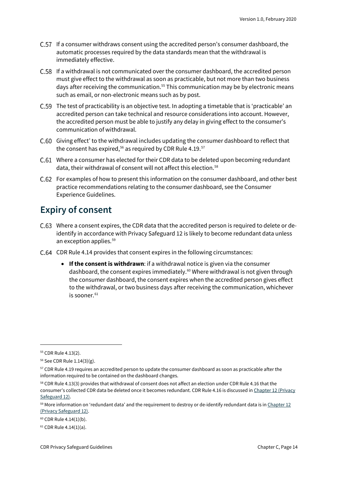- C.57 If a consumer withdraws consent using the accredited person's consumer dashboard, the automatic processes required by the data standards mean that the withdrawal is immediately effective.
- C.58 If a withdrawal is not communicated over the consumer dashboard, the accredited person must give effect to the withdrawal as soon as practicable, but not more than two business days after receiving the communication.<sup>[55](#page-13-1)</sup> This communication may be by electronic means such as email, or non-electronic means such as by post.
- C.59 The test of practicability is an objective test. In adopting a timetable that is 'practicable' an accredited person can take technical and resource considerations into account. However, the accredited person must be able to justify any delay in giving effect to the consumer's communication of withdrawal.
- Giving effect' to the withdrawal includes updating the consumer dashboard to reflect that the consent has expired.<sup>[56](#page-13-2)</sup> as required by CDR Rule 4.19.<sup>[57](#page-13-3)</sup>
- Where a consumer has elected for their CDR data to be deleted upon becoming redundant data, their withdrawal of consent will not affect this election.<sup>[58](#page-13-4)</sup>
- For examples of how to present this information on the consumer dashboard, and other best practice recommendations relating to the consumer dashboard, see the Consumer Experience Guidelines.

#### <span id="page-13-0"></span>**Expiry of consent**

- C.63 Where a consent expires, the CDR data that the accredited person is required to delete or deidentify in accordance with Privacy Safeguard 12 is likely to become redundant data unless an exception applies.[59](#page-13-5)
- C.64 CDR Rule 4.14 provides that consent expires in the following circumstances:
	- **If the consent is withdrawn**: if a withdrawal notice is given via the consumer dashboard, the consent expires immediately.<sup>60</sup> Where withdrawal is not given through the consumer dashboard, the consent expires when the accredited person gives effect to the withdrawal, or two business days after receiving the communication, whichever is sooner. [61](#page-13-7)

<span id="page-13-1"></span><sup>55</sup> CDR Rule 4.13(2).

<span id="page-13-2"></span><sup>56</sup> See CDR Rule 1.14(3)(g).

<span id="page-13-3"></span><sup>&</sup>lt;sup>57</sup> CDR Rule 4.19 requires an accredited person to update the consumer dashboard as soon as practicable after the information required to be contained on the dashboard changes.

<span id="page-13-4"></span><sup>&</sup>lt;sup>58</sup> CDR Rule 4.13(3) provides that withdrawal of consent does not affect an election under CDR Rule 4.16 that the consumer's collected CDR data be deleted once it becomes redundant. CDR Rule 4.16 is discussed i[n Chapter 12 \(Privacy](https://www.oaic.gov.au/consumer-data-right/cdr-privacy-safeguard-guidelines/chapter-12-privacy-safeguard-12-security-of-cdr-data-and-destruction-of-de-identification-of-redundant-cdr-data)  [Safeguard 12\).](https://www.oaic.gov.au/consumer-data-right/cdr-privacy-safeguard-guidelines/chapter-12-privacy-safeguard-12-security-of-cdr-data-and-destruction-of-de-identification-of-redundant-cdr-data)

<span id="page-13-5"></span> $59$  More information on 'redundant data' and the requirement to destroy or de-identify redundant data is in Chapter 12 [\(Privacy Safeguard 12\).](https://www.oaic.gov.au/consumer-data-right/cdr-privacy-safeguard-guidelines/chapter-12-privacy-safeguard-12-security-of-cdr-data-and-destruction-of-de-identification-of-redundant-cdr-data)

<span id="page-13-6"></span> $60$  CDR Rule 4.14(1)(b).

<span id="page-13-7"></span> $61$  CDR Rule 4.14(1)(a).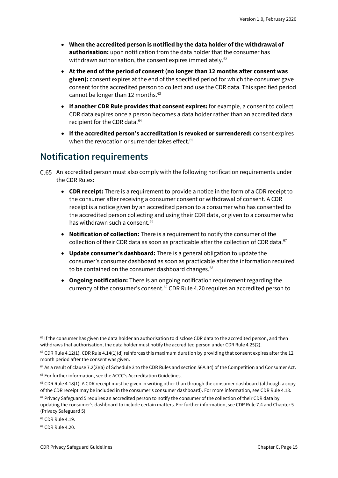- **When the accredited person is notified by the data holder of the withdrawal of authorisation:** upon notification from the data holder that the consumer has withdrawn authorisation, the consent expires immediately.<sup>[62](#page-14-1)</sup>
- **At the end of the period of consent (no longer than 12 months after consent was given):** consent expires at the end of the specified period for which the consumer gave consent for the accredited person to collect and use the CDR data. This specified period cannot be longer than 12 months. [63](#page-14-2)
- **If another CDR Rule provides that consent expires:** for example, a consent to collect CDR data expires once a person becomes a data holder rather than an accredited data recipient for the CDR data. [64](#page-14-3)
- **If the accredited person's accreditation is revoked or surrendered:** consent expires when the revocation or surrender takes effect.<sup>[65](#page-14-4)</sup>

#### <span id="page-14-0"></span>**Notification requirements**

- An accredited person must also comply with the following notification requirements under the CDR Rules:
	- **CDR receipt:** There is a requirement to provide a notice in the form of a CDR receipt to the consumer after receiving a consumer consent or withdrawal of consent. A CDR receipt is a notice given by an accredited person to a consumer who has consented to the accredited person collecting and using their CDR data, or given to a consumer who has withdrawn such a consent.<sup>[66](#page-14-5)</sup>
	- **Notification of collection:** There is a requirement to notify the consumer of the collection of their CDR data as soon as practicable after the collection of CDR data.<sup>[67](#page-14-6)</sup>
	- **Update consumer's dashboard:** There is a general obligation to update the consumer's consumer dashboard as soon as practicable after the information required to be contained on the consumer dashboard changes.<sup>[68](#page-14-7)</sup>
	- **Ongoing notification:** There is an ongoing notification requirement regarding the currency of the consumer's consent.<sup>[69](#page-14-8)</sup> CDR Rule 4.20 requires an accredited person to

<span id="page-14-1"></span> $62$  If the consumer has given the data holder an authorisation to disclose CDR data to the accredited person, and then withdraws that authorisation, the data holder must notify the accredited person under CDR Rule 4.25(2).

<span id="page-14-2"></span> $63$  CDR Rule 4.12(1). CDR Rule 4.14(1)(d) reinforces this maximum duration by providing that consent expires after the 12 month period after the consent was given.

<span id="page-14-3"></span><sup>&</sup>lt;sup>64</sup> As a result of clause 7.2(3)(a) of Schedule 3 to the CDR Rules and section 56AJ(4) of the Competition and Consumer Act.

<span id="page-14-4"></span><sup>&</sup>lt;sup>65</sup> For further information, see the ACCC's Accreditation Guidelines.

<span id="page-14-5"></span> $66$  CDR Rule 4.18(1). A CDR receipt must be given in writing other than through the consumer dashboard (although a copy of the CDR receipt may be included in the consumer's consumer dashboard). For more information, see CDR Rule 4.18.

<span id="page-14-6"></span> $67$  Privacy Safeguard 5 requires an accredited person to notify the consumer of the collection of their CDR data by updating the consumer's dashboard to include certain matters. For further information, see CDR Rule 7.4 and Chapter 5 (Privacy Safeguard 5).

<span id="page-14-7"></span><sup>68</sup> CDR Rule 4.19.

<span id="page-14-8"></span><sup>69</sup> CDR Rule 4.20.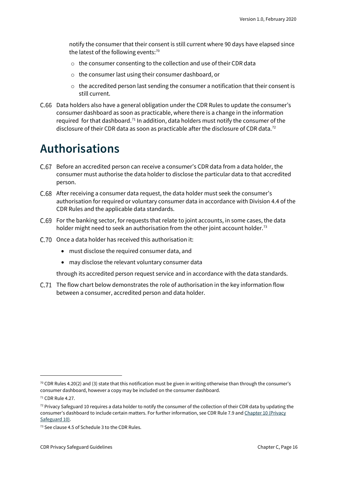notify the consumer that their consent is still current where 90 days have elapsed since the latest of the following events: $70$ 

- o the consumer consenting to the collection and use of their CDR data
- o the consumer last using their consumer dashboard, or
- $\circ$  the accredited person last sending the consumer a notification that their consent is still current.
- C.66 Data holders also have a general obligation under the CDR Rules to update the consumer's consumer dashboard as soon as practicable, where there is a change in the information required for that dashboard.<sup>[71](#page-15-2)</sup> In addition, data holders must notify the consumer of the disclosure of their CDR data as soon as practicable after the disclosure of CDR data.<sup>[72](#page-15-3)</sup>

### <span id="page-15-0"></span>**Authorisations**

- Before an accredited person can receive a consumer's CDR data from a data holder, the consumer must authorise the data holder to disclose the particular data to that accredited person.
- After receiving a consumer data request, the data holder must seek the consumer's authorisation for required or voluntary consumer data in accordance with Division 4.4 of the CDR Rules and the applicable data standards.
- For the banking sector, for requests that relate to joint accounts, in some cases, the data holder might need to seek an authorisation from the other joint account holder.<sup>[73](#page-15-4)</sup>
- C.70 Once a data holder has received this authorisation it:
	- must disclose the required consumer data, and
	- may disclose the relevant voluntary consumer data

through its accredited person request service and in accordance with the data standards.

C.71 The flow chart below demonstrates the role of authorisation in the key information flow between a consumer, accredited person and data holder.

<span id="page-15-1"></span> $70$  CDR Rules 4.20(2) and (3) state that this notification must be given in writing otherwise than through the consumer's consumer dashboard, however a copy may be included on the consumer dashboard.

<span id="page-15-2"></span><sup>71</sup> CDR Rule 4.27.

<span id="page-15-3"></span> $72$  Privacy Safeguard 10 requires a data holder to notify the consumer of the collection of their CDR data by updating the consumer's dashboard to include certain matters. For further information, see CDR Rule 7.9 and Chapter 10 (Privacy [Safeguard 10\).](https://www.oaic.gov.au/consumer-data-right/cdr-privacy-safeguard-guidelines/chapter-10-privacy-safeguard-10-notifying-of-the-disclosure-of-cdr-data)

<span id="page-15-4"></span><sup>73</sup> See clause 4.5 of Schedule 3 to the CDR Rules.